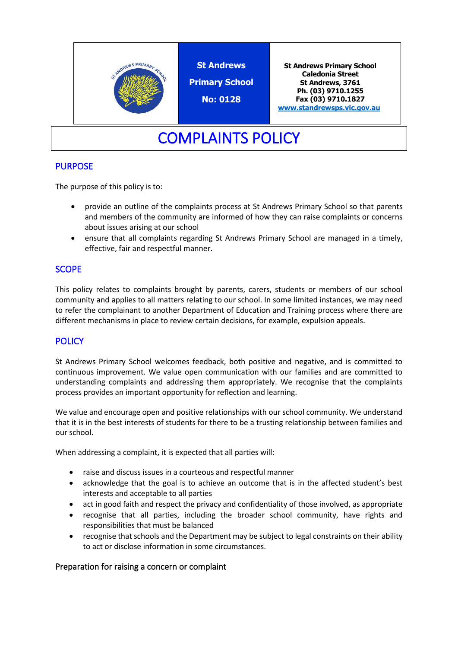

# COMPLAINTS POLICY

## PURPOSE

The purpose of this policy is to:

- provide an outline of the complaints process at St Andrews Primary School so that parents and members of the community are informed of how they can raise complaints or concerns about issues arising at our school
- ensure that all complaints regarding St Andrews Primary School are managed in a timely, effective, fair and respectful manner.

## **SCOPE**

This policy relates to complaints brought by parents, carers, students or members of our school community and applies to all matters relating to our school. In some limited instances, we may need to refer the complainant to another Department of Education and Training process where there are different mechanisms in place to review certain decisions, for example, expulsion appeals.

## **POLICY**

St Andrews Primary School welcomes feedback, both positive and negative, and is committed to continuous improvement. We value open communication with our families and are committed to understanding complaints and addressing them appropriately. We recognise that the complaints process provides an important opportunity for reflection and learning.

We value and encourage open and positive relationships with our school community. We understand that it is in the best interests of students for there to be a trusting relationship between families and our school.

When addressing a complaint, it is expected that all parties will:

- raise and discuss issues in a courteous and respectful manner
- acknowledge that the goal is to achieve an outcome that is in the affected student's best interests and acceptable to all parties
- act in good faith and respect the privacy and confidentiality of those involved, as appropriate
- recognise that all parties, including the broader school community, have rights and responsibilities that must be balanced
- recognise that schools and the Department may be subject to legal constraints on their ability to act or disclose information in some circumstances.

### Preparation for raising a concern or complaint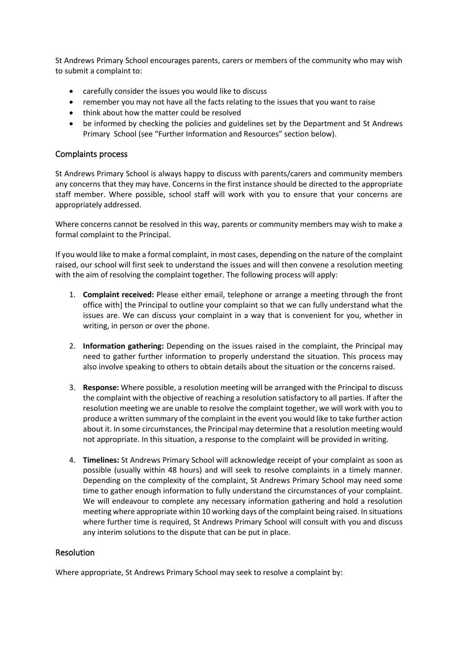St Andrews Primary School encourages parents, carers or members of the community who may wish to submit a complaint to:

- carefully consider the issues you would like to discuss
- remember you may not have all the facts relating to the issues that you want to raise
- think about how the matter could be resolved
- be informed by checking the policies and guidelines set by the Department and St Andrews Primary School (see "Further Information and Resources" section below).

#### Complaints process

St Andrews Primary School is always happy to discuss with parents/carers and community members any concerns that they may have. Concerns in the first instance should be directed to the appropriate staff member. Where possible, school staff will work with you to ensure that your concerns are appropriately addressed.

Where concerns cannot be resolved in this way, parents or community members may wish to make a formal complaint to the Principal.

If you would like to make a formal complaint, in most cases, depending on the nature of the complaint raised, our school will first seek to understand the issues and will then convene a resolution meeting with the aim of resolving the complaint together. The following process will apply:

- 1. **Complaint received:** Please either email, telephone or arrange a meeting through the front office with] the Principal to outline your complaint so that we can fully understand what the issues are. We can discuss your complaint in a way that is convenient for you, whether in writing, in person or over the phone.
- 2. **Information gathering:** Depending on the issues raised in the complaint, the Principal may need to gather further information to properly understand the situation. This process may also involve speaking to others to obtain details about the situation or the concerns raised.
- 3. **Response:** Where possible, a resolution meeting will be arranged with the Principal to discuss the complaint with the objective of reaching a resolution satisfactory to all parties. If after the resolution meeting we are unable to resolve the complaint together, we will work with you to produce a written summary of the complaint in the event you would like to take further action about it. In some circumstances, the Principal may determine that a resolution meeting would not appropriate. In this situation, a response to the complaint will be provided in writing.
- 4. **Timelines:** St Andrews Primary School will acknowledge receipt of your complaint as soon as possible (usually within 48 hours) and will seek to resolve complaints in a timely manner. Depending on the complexity of the complaint, St Andrews Primary School may need some time to gather enough information to fully understand the circumstances of your complaint. We will endeavour to complete any necessary information gathering and hold a resolution meeting where appropriate within 10 working days of the complaint being raised. In situations where further time is required, St Andrews Primary School will consult with you and discuss any interim solutions to the dispute that can be put in place.

### Resolution

Where appropriate, St Andrews Primary School may seek to resolve a complaint by: